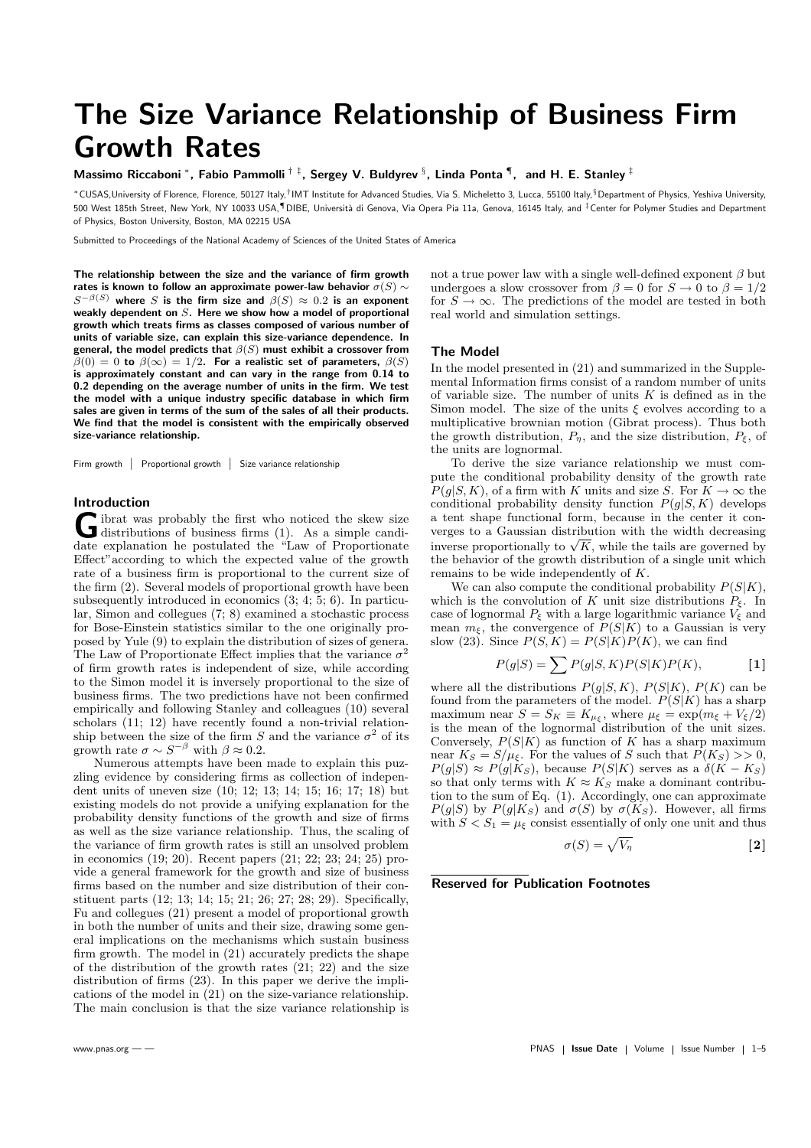# The Size Variance Relationship of Business Firm Growth Rates

Massimo Riccaboni \*, Fabio Pammolli  $^{\dagger ~\ddagger}$ , Sergey V. Buldyrev  $^{\S},$  Linda Ponta  $^{\P},$  and H. E. Stanley  $^{\ddagger}$ 

\*CUSAS,University of Florence, Florence, 50127 Italy,†IMT Institute for Advanced Studies, Via S. Micheletto 3, Lucca, 55100 Italy,§Department of Physics, Yeshiva University, 500 West 185th Street, New York, NY 10033 USA, IDIBE, Università di Genova, Via Opera Pia 11a, Genova, 16145 Italy, and ‡Center for Polymer Studies and Department of Physics, Boston University, Boston, MA 02215 USA

Submitted to Proceedings of the National Academy of Sciences of the United States of America

The relationship between the size and the variance of firm growth rates is known to follow an approximate power-law behavior  $\sigma(S) \sim$  $S^{-\beta(S)}$  where S is the firm size and  $\beta(S) \approx 0.2$  is an exponent weakly dependent on  $S$ . Here we show how a model of proportional growth which treats firms as classes composed of various number of units of variable size, can explain this size-variance dependence. In general, the model predicts that  $\beta(S)$  must exhibit a crossover from  $\beta(0) = 0$  to  $\beta(\infty) = 1/2$ . For a realistic set of parameters,  $\beta(S)$ is approximately constant and can vary in the range from 0.14 to 0.2 depending on the average number of units in the firm. We test the model with a unique industry specific database in which firm sales are given in terms of the sum of the sales of all their products. We find that the model is consistent with the empirically observed size-variance relationship.

Firm growth | Proportional growth | Size variance relationship

## Introduction

G ibrat was probably the first who noticed the skew size<br>distributions of business firms  $(1)$ . As a simple candiibrat was probably the first who noticed the skew size date explanation he postulated the "Law of Proportionate Effect"according to which the expected value of the growth rate of a business firm is proportional to the current size of the firm (2). Several models of proportional growth have been subsequently introduced in economics (3; 4; 5; 6). In particular, Simon and collegues (7; 8) examined a stochastic process for Bose-Einstein statistics similar to the one originally proposed by Yule (9) to explain the distribution of sizes of genera. The Law of Proportionate Effect implies that the variance  $\sigma^2$ of firm growth rates is independent of size, while according to the Simon model it is inversely proportional to the size of business firms. The two predictions have not been confirmed empirically and following Stanley and colleagues (10) several scholars (11; 12) have recently found a non-trivial relationship between the size of the firm S and the variance  $\sigma^2$  of its growth rate  $\sigma \sim S^{-\beta}$  with  $\beta \approx 0.2$ .

Numerous attempts have been made to explain this puzzling evidence by considering firms as collection of independent units of uneven size (10; 12; 13; 14; 15; 16; 17; 18) but existing models do not provide a unifying explanation for the probability density functions of the growth and size of firms as well as the size variance relationship. Thus, the scaling of the variance of firm growth rates is still an unsolved problem in economics (19; 20). Recent papers (21; 22; 23; 24; 25) provide a general framework for the growth and size of business firms based on the number and size distribution of their constituent parts (12; 13; 14; 15; 21; 26; 27; 28; 29). Specifically, Fu and collegues (21) present a model of proportional growth in both the number of units and their size, drawing some general implications on the mechanisms which sustain business firm growth. The model in (21) accurately predicts the shape of the distribution of the growth rates (21; 22) and the size distribution of firms (23). In this paper we derive the implications of the model in (21) on the size-variance relationship. The main conclusion is that the size variance relationship is

not a true power law with a single well-defined exponent  $\beta$  but undergoes a slow crossover from  $\beta = 0$  for  $S \to 0$  to  $\beta = 1/2$ for  $S \to \infty$ . The predictions of the model are tested in both real world and simulation settings.

### The Model

In the model presented in (21) and summarized in the Supplemental Information firms consist of a random number of units of variable size. The number of units  $K$  is defined as in the Simon model. The size of the units  $\xi$  evolves according to a multiplicative brownian motion (Gibrat process). Thus both the growth distribution,  $P_{\eta}$ , and the size distribution,  $P_{\xi}$ , of the units are lognormal.

To derive the size variance relationship we must compute the conditional probability density of the growth rate  $P(q|S, K)$ , of a firm with K units and size S. For  $K \to \infty$  the conditional probability density function  $P(g|S, K)$  develops a tent shape functional form, because in the center it converges to a Gaussian distribution with the width decreasing verges to a Gaussian distribution with the width decreasing<br>inverse proportionally to  $\sqrt{K}$ , while the tails are governed by the behavior of the growth distribution of a single unit which remains to be wide independently of K.

We can also compute the conditional probability  $P(S|K)$ , which is the convolution of K unit size distributions  $P_{\xi}$ . In case of lognormal  $P_{\xi}$  with a large logarithmic variance  $V_{\xi}$  and mean  $m_{\xi}$ , the convergence of  $\widetilde{P}(S|\widetilde{K})$  to a Gaussian is very slow (23). Since  $P(S, K) = P(S|K)P(K)$ , we can find

$$
P(g|S) = \sum P(g|S, K)P(S|K)P(K),
$$
 [1]

where all the distributions  $P(g|S, K)$ ,  $P(S|K)$ ,  $P(K)$  can be found from the parameters of the model.  $P(S|K)$  has a sharp maximum near  $S = S_K \equiv K_{\mu_{\xi}}$ , where  $\mu_{\xi} = \exp(m_{\xi} + V_{\xi}/2)$ is the mean of the lognormal distribution of the unit sizes. Conversely,  $P(S|K)$  as function of K has a sharp maximum near  $K_S = S/\mu_{\xi}$ . For the values of S such that  $P(K_S) >> 0$ ,  $P(g|S) \approx P(g|K_S)$ , because  $P(S|K)$  serves as a  $\delta(K - K_S)$ so that only terms with  $K \approx K_S$  make a dominant contribution to the sum of Eq. (1). Accordingly, one can approximate  $P(g|S)$  by  $P(g|K_S)$  and  $\sigma(S)$  by  $\sigma(K_S)$ . However, all firms with  $S < S_1 = \mu_{\xi}$  consist essentially of only one unit and thus

$$
\sigma(S) = \sqrt{V_{\eta}}
$$
 [2]

### Reserved for Publication Footnotes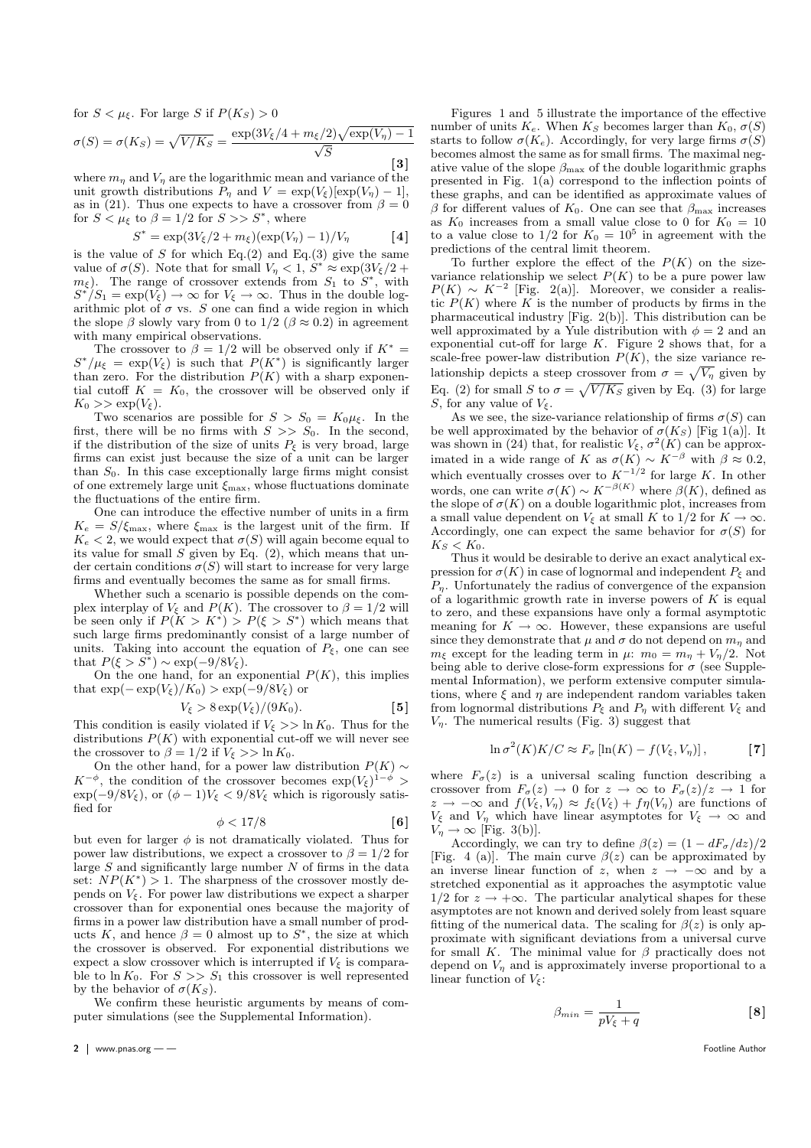for  $S < \mu_{\xi}$ . For large S if  $P(K_S) > 0$ 

$$
\sigma(S) = \sigma(K_S) = \sqrt{V/K_S} = \frac{\exp(3V_{\xi}/4 + m_{\xi}/2)\sqrt{\exp(V_{\eta}) - 1}}{\sqrt{S}}
$$

where  $m_{\eta}$  and  $V_{\eta}$  are the logarithmic mean and variance of the unit growth distributions  $P_{\eta}$  and  $V = \exp(V_{\xi})[\exp(V_{\eta}) - 1],$ as in (21). Thus one expects to have a crossover from  $\beta = 0$ for  $S \n\leq \mu_{\xi}$  to  $\beta = 1/2$  for  $S \n\geq S^*$ , where

$$
S^* = \exp(3V_{\xi}/2 + m_{\xi})(\exp(V_{\eta}) - 1)/V_{\eta}
$$
 [4]

is the value of S for which Eq.(2) and Eq.(3) give the same value of  $\sigma(S)$ . Note that for small  $V_{\eta} < 1$ ,  $S^* \approx \exp(3V_{\xi}/2 +$  $m_{\xi}$ ). The range of crossover extends from  $S_1$  to  $S^*$ , with  $S^*/S_1 = \exp(V_{\xi}) \to \infty$  for  $V_{\xi} \to \infty$ . Thus in the double logarithmic plot of  $\sigma$  vs. S one can find a wide region in which the slope  $\beta$  slowly vary from 0 to 1/2 ( $\beta \approx 0.2$ ) in agreement with many empirical observations.

The crossover to  $\beta = 1/2$  will be observed only if  $K^* =$  $S^*/\mu_{\xi} = \exp(V_{\xi})$  is such that  $P(K^*)$  is significantly larger than zero. For the distribution  $P(K)$  with a sharp exponential cutoff  $K = K_0$ , the crossover will be observed only if  $K_0 >> \exp(V_{\xi}).$ 

Two scenarios are possible for  $S > S_0 = K_0 \mu_{\xi}$ . In the first, there will be no firms with  $S \ge S_0$ . In the second, if the distribution of the size of units  $P_{\xi}$  is very broad, large firms can exist just because the size of a unit can be larger than  $S_0$ . In this case exceptionally large firms might consist of one extremely large unit  $\xi_{\text{max}}$ , whose fluctuations dominate the fluctuations of the entire firm.

One can introduce the effective number of units in a firm  $K_e = S/\xi_{\text{max}}$ , where  $\xi_{\text{max}}$  is the largest unit of the firm. If  $K_e < 2$ , we would expect that  $\sigma(S)$  will again become equal to its value for small  $S$  given by Eq.  $(2)$ , which means that under certain conditions  $\sigma(S)$  will start to increase for very large firms and eventually becomes the same as for small firms.

Whether such a scenario is possible depends on the complex interplay of  $V_{\xi}$  and  $P(K)$ . The crossover to  $\beta = 1/2$  will be seen only if  $P(K > K^*) > P(\xi > S^*)$  which means that such large firms predominantly consist of a large number of units. Taking into account the equation of  $P_{\xi}$ , one can see that  $P(\xi > S^*) \sim \exp(-9/8V_{\xi}).$ 

On the one hand, for an exponential  $P(K)$ , this implies that  $\exp(-\exp(V_{\xi})/K_0) > \exp(-9/8V_{\xi})$  or

$$
V_{\xi} > 8 \exp(V_{\xi})/(9K_0). \tag{5}
$$

This condition is easily violated if  $V_{\xi} >> \ln K_0$ . Thus for the distributions  $P(K)$  with exponential cut-off we will never see the crossover to  $\beta = 1/2$  if  $V_{\xi} >> \ln K_0$ .

On the other hand, for a power law distribution  $P(K) \sim$  $K^{-\phi}$ , the condition of the crossover becomes  $\exp(V_{\xi})^{1-\phi}$  $\exp(-9/8V_{\xi})$ , or  $(\phi - 1)V_{\xi} < 9/8V_{\xi}$  which is rigorously satisfied for

$$
\phi < 17/8 \tag{6}
$$

but even for larger  $\phi$  is not dramatically violated. Thus for power law distributions, we expect a crossover to  $\beta = 1/2$  for large  $S$  and significantly large number  $N$  of firms in the data set:  $NP(K^*) > 1$ . The sharpness of the crossover mostly depends on  $V_{\xi}$ . For power law distributions we expect a sharper crossover than for exponential ones because the majority of firms in a power law distribution have a small number of products K, and hence  $\beta = 0$  almost up to  $S^*$ , the size at which the crossover is observed. For exponential distributions we expect a slow crossover which is interrupted if  $V_{\xi}$  is comparable to  $\ln K_0$ . For  $S >> S_1$  this crossover is well represented by the behavior of  $\sigma(K_S)$ .

We confirm these heuristic arguments by means of computer simulations (see the Supplemental Information).

Figures 1 and 5 illustrate the importance of the effective number of units  $K_e$ . When  $K_S$  becomes larger than  $K_0$ ,  $\sigma(S)$ starts to follow  $\sigma(K_e)$ . Accordingly, for very large firms  $\sigma(S)$ becomes almost the same as for small firms. The maximal negative value of the slope  $\beta_{\text{max}}$  of the double logarithmic graphs presented in Fig. 1(a) correspond to the inflection points of these graphs, and can be identified as approximate values of β for different values of  $K_0$ . One can see that  $β_{\text{max}}$  increases as  $K_0$  increases from a small value close to 0 for  $K_0 = 10$ to a value close to  $1/2$  for  $K_0 = 10^5$  in agreement with the predictions of the central limit theorem.

To further explore the effect of the  $P(K)$  on the sizevariance relationship we select  $P(K)$  to be a pure power law  $P(K) \sim K^{-2}$  [Fig. 2(a)]. Moreover, we consider a realistic  $P(K)$  where K is the number of products by firms in the pharmaceutical industry [Fig. 2(b)]. This distribution can be well approximated by a Yule distribution with  $\phi = 2$  and an exponential cut-off for large  $K$ . Figure 2 shows that, for a scale-free power-law distribution  $P(K)$ , the size variance relationship depicts a steep crossover from  $\sigma = \sqrt{V_{\eta}}$  given by Eq. (2) for small S to  $\sigma = \sqrt{V/K_S}$  given by Eq. (3) for large S, for any value of  $V_{\xi}$ .

As we see, the size-variance relationship of firms  $\sigma(S)$  can be well approximated by the behavior of  $\sigma(K_S)$  [Fig 1(a)]. It was shown in (24) that, for realistic  $V_{\xi}$ ,  $\sigma^2(K)$  can be approximated in a wide range of K as  $\sigma(K) \sim K^{-\beta}$  with  $\beta \approx 0.2$ , which eventually crosses over to  $K^{-1/2}$  for large K. In other when vehiclarly states states on the large process with  $\omega_K$  where  $\beta(K)$ , defined as the slope of  $\sigma(K)$  on a double logarithmic plot, increases from a small value dependent on  $V_{\xi}$  at small K to 1/2 for  $K \to \infty$ . Accordingly, one can expect the same behavior for  $\sigma(S)$  for  $K_S < K_0$ .

Thus it would be desirable to derive an exact analytical expression for  $\sigma(K)$  in case of lognormal and independent  $P_{\xi}$  and  $P_n$ . Unfortunately the radius of convergence of the expansion of a logarithmic growth rate in inverse powers of  $K$  is equal to zero, and these expansions have only a formal asymptotic meaning for  $K \to \infty$ . However, these expansions are useful since they demonstrate that  $\mu$  and  $\sigma$  do not depend on  $m_n$  and  $m_{\xi}$  except for the leading term in  $\mu$ :  $m_0 = m_{\eta} + V_{\eta}/2$ . Not being able to derive close-form expressions for  $\sigma$  (see Supplemental Information), we perform extensive computer simulations, where  $\xi$  and  $\eta$  are independent random variables taken from lognormal distributions  $P_{\xi}$  and  $P_{\eta}$  with different  $V_{\xi}$  and  $V_{\eta}$ . The numerical results (Fig. 3) suggest that

$$
\ln \sigma^2(K)K/C \approx F_{\sigma}\left[\ln(K) - f(V_{\xi}, V_{\eta})\right],
$$
 [7]

where  $F_{\sigma}(z)$  is a universal scaling function describing a crossover from  $F_{\sigma}(z) \to 0$  for  $z \to \infty$  to  $F_{\sigma}(z)/z \to 1$  for  $z \to -\infty$  and  $f(V_{\xi}, V_{\eta}) \approx f_{\xi}(V_{\xi}) + f \eta(V_{\eta})$  are functions of  $V_{\xi}$  and  $V_{\eta}$  which have linear asymptotes for  $V_{\xi} \rightarrow \infty$  and  $V_{\eta} \rightarrow \infty$  [Fig. 3(b)].

Accordingly, we can try to define  $\beta(z) = (1 - dF_{\sigma}/dz)/2$ [Fig. 4 (a)]. The main curve  $\beta(z)$  can be approximated by an inverse linear function of z, when  $z \rightarrow -\infty$  and by a stretched exponential as it approaches the asymptotic value  $1/2$  for  $z \rightarrow +\infty$ . The particular analytical shapes for these asymptotes are not known and derived solely from least square fitting of the numerical data. The scaling for  $\beta(z)$  is only approximate with significant deviations from a universal curve for small K. The minimal value for  $\beta$  practically does not depend on  $V_{\eta}$  and is approximately inverse proportional to a linear function of  $V_{\epsilon}$ :

$$
\beta_{min} = \frac{1}{pV_{\xi} + q} \tag{8}
$$

2 | www.pnas.org — — Footline Author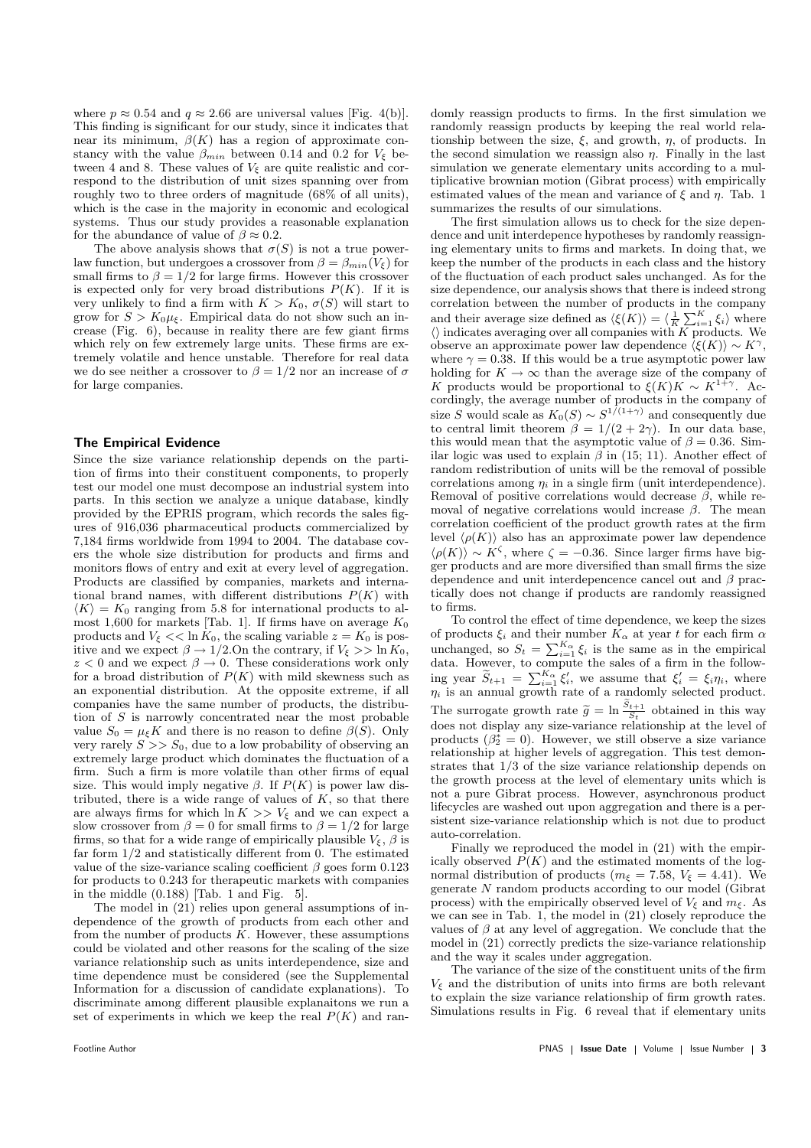where  $p \approx 0.54$  and  $q \approx 2.66$  are universal values [Fig. 4(b)]. This finding is significant for our study, since it indicates that near its minimum,  $\beta(K)$  has a region of approximate constancy with the value  $\beta_{min}$  between 0.14 and 0.2 for  $V_{\xi}$  between 4 and 8. These values of  $V_{\xi}$  are quite realistic and correspond to the distribution of unit sizes spanning over from roughly two to three orders of magnitude (68% of all units), which is the case in the majority in economic and ecological systems. Thus our study provides a reasonable explanation for the abundance of value of  $\beta \approx 0.2$ .

The above analysis shows that  $\sigma(S)$  is not a true powerlaw function, but undergoes a crossover from  $\beta = \beta_{min}(V_{\xi})$  for small firms to  $\beta = 1/2$  for large firms. However this crossover is expected only for very broad distributions  $P(K)$ . If it is very unlikely to find a firm with  $K > K_0$ ,  $\sigma(S)$  will start to grow for  $S > K_0\mu_{\xi}$ . Empirical data do not show such an increase (Fig. 6), because in reality there are few giant firms which rely on few extremely large units. These firms are extremely volatile and hence unstable. Therefore for real data we do see neither a crossover to  $\beta = 1/2$  nor an increase of  $\sigma$ for large companies.

## The Empirical Evidence

Since the size variance relationship depends on the partition of firms into their constituent components, to properly test our model one must decompose an industrial system into parts. In this section we analyze a unique database, kindly provided by the EPRIS program, which records the sales figures of 916,036 pharmaceutical products commercialized by 7,184 firms worldwide from 1994 to 2004. The database covers the whole size distribution for products and firms and monitors flows of entry and exit at every level of aggregation. Products are classified by companies, markets and international brand names, with different distributions  $P(K)$  with  $\langle K \rangle = K_0$  ranging from 5.8 for international products to almost 1,600 for markets [Tab. 1]. If firms have on average  $K_0$ products and  $V_{\xi} \ll \ln K_0$ , the scaling variable  $z = K_0$  is positive and we expect  $\beta \to 1/2$ . On the contrary, if  $V_{\xi} >> \ln K_0$ ,  $z < 0$  and we expect  $\beta \rightarrow 0$ . These considerations work only for a broad distribution of  $P(K)$  with mild skewness such as an exponential distribution. At the opposite extreme, if all companies have the same number of products, the distribution of S is narrowly concentrated near the most probable value  $S_0 = \mu_{\xi} K$  and there is no reason to define  $\beta(S)$ . Only very rarely  $S \gg S_0$ , due to a low probability of observing an extremely large product which dominates the fluctuation of a firm. Such a firm is more volatile than other firms of equal size. This would imply negative  $\beta$ . If  $P(K)$  is power law distributed, there is a wide range of values of  $K$ , so that there are always firms for which  $\ln K >> V_{\xi}$  and we can expect a slow crossover from  $\beta = 0$  for small firms to  $\beta = 1/2$  for large firms, so that for a wide range of empirically plausible  $V_{\xi}$ ,  $\beta$  is far form 1/2 and statistically different from 0. The estimated value of the size-variance scaling coefficient  $\beta$  goes form 0.123 for products to 0.243 for therapeutic markets with companies in the middle  $(0.188)$  [Tab. 1 and Fig. 5].

The model in (21) relies upon general assumptions of independence of the growth of products from each other and from the number of products  $K$ . However, these assumptions could be violated and other reasons for the scaling of the size variance relationship such as units interdependence, size and time dependence must be considered (see the Supplemental Information for a discussion of candidate explanations). To discriminate among different plausible explanaitons we run a set of experiments in which we keep the real  $P(K)$  and randomly reassign products to firms. In the first simulation we randomly reassign products by keeping the real world relationship between the size,  $\xi$ , and growth,  $\eta$ , of products. In the second simulation we reassign also  $\eta$ . Finally in the last simulation we generate elementary units according to a multiplicative brownian motion (Gibrat process) with empirically estimated values of the mean and variance of  $\xi$  and  $\eta$ . Tab. 1 summarizes the results of our simulations.

The first simulation allows us to check for the size dependence and unit interdepence hypotheses by randomly reassigning elementary units to firms and markets. In doing that, we keep the number of the products in each class and the history of the fluctuation of each product sales unchanged. As for the size dependence, our analysis shows that there is indeed strong correlation between the number of products in the company P<sup>K</sup> and their average size defined as  $\langle \xi(K) \rangle = \langle \frac{1}{K} \sum_{i=1}^{K} \xi_i \rangle$  where  $\langle \rangle$  indicates averaging over all companies with K products. We observe an approximate power law dependence  $\langle \xi(K) \rangle \sim K^{\gamma}$ , where  $\gamma = 0.38$ . If this would be a true asymptotic power law holding for  $K \to \infty$  than the average size of the company of K products would be proportional to  $\xi(K)K \sim K^{1+\gamma}$ . Accordingly, the average number of products in the company of size S would scale as  $K_0(S) \sim S^{1/(1+\gamma)}$  and consequently due to central limit theorem  $\beta = 1/(2 + 2\gamma)$ . In our data base, this would mean that the asymptotic value of  $\beta = 0.36$ . Similar logic was used to explain  $\beta$  in (15; 11). Another effect of random redistribution of units will be the removal of possible correlations among  $\eta_i$  in a single firm (unit interdependence). Removal of positive correlations would decrease  $\beta$ , while removal of negative correlations would increase  $\beta$ . The mean correlation coefficient of the product growth rates at the firm level  $\langle \rho(K) \rangle$  also has an approximate power law dependence  $\langle \rho(K) \rangle \sim K^{\zeta}$ , where  $\zeta = -0.36$ . Since larger firms have bigger products and are more diversified than small firms the size dependence and unit interdepencence cancel out and  $\beta$  practically does not change if products are randomly reassigned to firms.

To control the effect of time dependence, we keep the sizes of products  $\xi_i$  and their number  $K_\alpha$  at year t for each firm  $\alpha$ or products  $\zeta_i$  and then number  $K_\alpha$  at year t for each firm  $\alpha$ <br>unchanged, so  $S_t = \sum_{i=1}^{K_\alpha} \xi_i$  is the same as in the empirical<br>data. However, to compute the sales of a firm in the following year  $\widetilde{S}_{t+1} = \sum_{i=1}^{K_{\alpha}} \xi'_i$ , we assume that  $\xi'_i = \xi_i \eta_i$ , where  $\eta_i$  is an annual growth rate of a randomly selected product. The surrogate growth rate  $\widetilde{g} = \ln \frac{\widetilde{S}_{t+1}}{S_t}$  obtained in this way does not display any size-variance relationship at the level of products  $(\beta_2^* = 0)$ . However, we still observe a size variance relationship at higher levels of aggregation. This test demonstrates that 1/3 of the size variance relationship depends on the growth process at the level of elementary units which is not a pure Gibrat process. However, asynchronous product lifecycles are washed out upon aggregation and there is a persistent size-variance relationship which is not due to product auto-correlation.

Finally we reproduced the model in (21) with the empirically observed  $P(K)$  and the estimated moments of the lognormal distribution of products ( $m_{\xi} = 7.58$ ,  $V_{\xi} = 4.41$ ). We generate N random products according to our model (Gibrat process) with the empirically observed level of  $V_{\xi}$  and  $m_{\xi}$ . As we can see in Tab. 1, the model in (21) closely reproduce the values of  $\beta$  at any level of aggregation. We conclude that the model in (21) correctly predicts the size-variance relationship and the way it scales under aggregation.

The variance of the size of the constituent units of the firm  $V_{\xi}$  and the distribution of units into firms are both relevant to explain the size variance relationship of firm growth rates. Simulations results in Fig. 6 reveal that if elementary units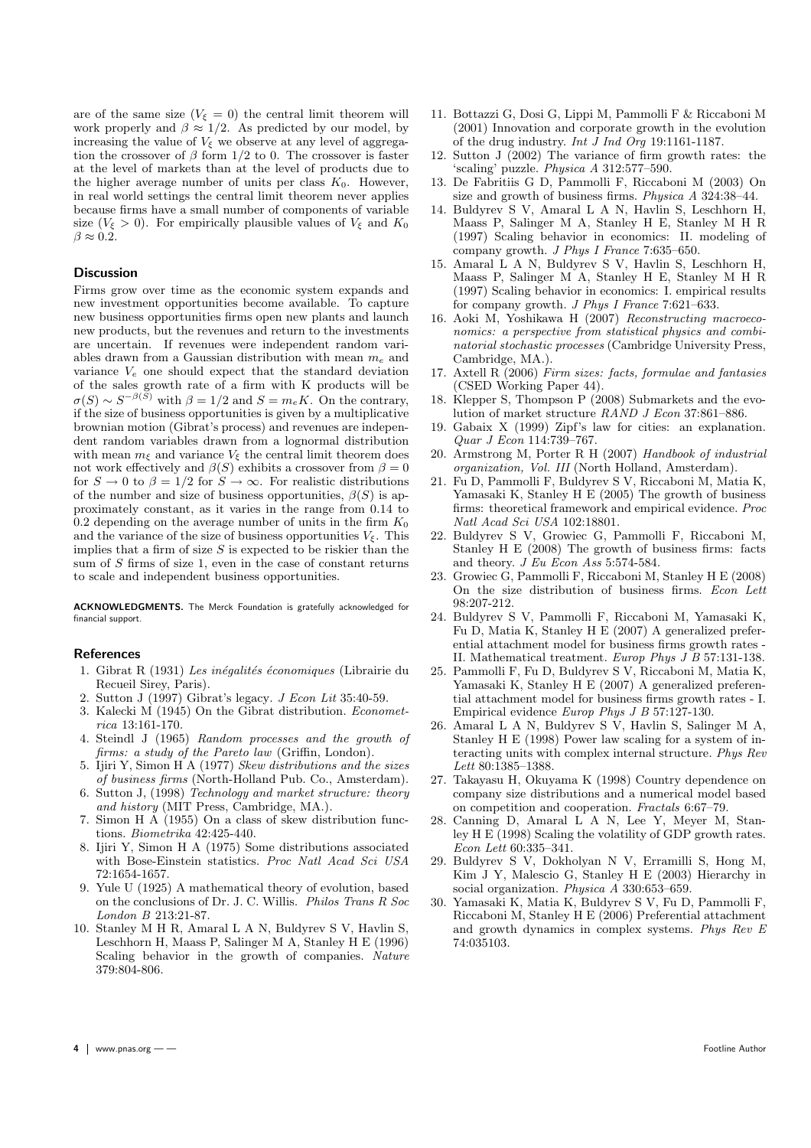are of the same size  $(V_{\xi} = 0)$  the central limit theorem will work properly and  $\beta \approx 1/2$ . As predicted by our model, by increasing the value of  $V_{\xi}$  we observe at any level of aggregation the crossover of  $\beta$  form 1/2 to 0. The crossover is faster at the level of markets than at the level of products due to the higher average number of units per class  $K_0$ . However, in real world settings the central limit theorem never applies because firms have a small number of components of variable size ( $V_{\xi} > 0$ ). For empirically plausible values of  $V_{\xi}$  and  $K_0$  $\beta \approx 0.2$ .

### **Discussion**

Firms grow over time as the economic system expands and new investment opportunities become available. To capture new business opportunities firms open new plants and launch new products, but the revenues and return to the investments are uncertain. If revenues were independent random variables drawn from a Gaussian distribution with mean  $m_e$  and variance  $V_e$  one should expect that the standard deviation of the sales growth rate of a firm with K products will be  $\sigma(S) \sim S^{-\beta(S)}$  with  $\beta = 1/2$  and  $S = m_e K$ . On the contrary, if the size of business opportunities is given by a multiplicative brownian motion (Gibrat's process) and revenues are independent random variables drawn from a lognormal distribution with mean  $m_{\xi}$  and variance  $V_{\xi}$  the central limit theorem does not work effectively and  $\beta(S)$  exhibits a crossover from  $\beta = 0$ for  $S \to 0$  to  $\beta = 1/2$  for  $S \to \infty$ . For realistic distributions of the number and size of business opportunities,  $\beta(S)$  is approximately constant, as it varies in the range from 0.14 to 0.2 depending on the average number of units in the firm  $K_0$ and the variance of the size of business opportunities  $V_{\xi}$ . This implies that a firm of size  $S$  is expected to be riskier than the sum of S firms of size 1, even in the case of constant returns to scale and independent business opportunities.

ACKNOWLEDGMENTS. The Merck Foundation is gratefully acknowledged for financial support.

## **References**

- 1. Gibrat R (1931) Les inégalités économiques (Librairie du Recueil Sirey, Paris).
- 2. Sutton J (1997) Gibrat's legacy. J Econ Lit 35:40-59.
- Kalecki M (1945) On the Gibrat distribution. Econometrica 13:161-170.
- 4. Steindl J (1965) Random processes and the growth of firms: a study of the Pareto law (Griffin, London).
- 5. Ijiri Y, Simon H A (1977) Skew distributions and the sizes of business firms (North-Holland Pub. Co., Amsterdam).
- 6. Sutton J, (1998) Technology and market structure: theory and history (MIT Press, Cambridge, MA.).
- 7. Simon H A (1955) On a class of skew distribution functions. Biometrika 42:425-440.
- 8. Ijiri Y, Simon H A (1975) Some distributions associated with Bose-Einstein statistics. Proc Natl Acad Sci USA 72:1654-1657.
- 9. Yule U (1925) A mathematical theory of evolution, based on the conclusions of Dr. J. C. Willis. Philos Trans R Soc London B 213:21-87.
- 10. Stanley M H R, Amaral L A N, Buldyrev S V, Havlin S, Leschhorn H, Maass P, Salinger M A, Stanley H E (1996) Scaling behavior in the growth of companies. Nature 379:804-806.
- 11. Bottazzi G, Dosi G, Lippi M, Pammolli F & Riccaboni M (2001) Innovation and corporate growth in the evolution of the drug industry. Int J Ind Org 19:1161-1187.
- 12. Sutton J (2002) The variance of firm growth rates: the 'scaling' puzzle. Physica A 312:577–590.
- 13. De Fabritiis G D, Pammolli F, Riccaboni M (2003) On size and growth of business firms. Physica A 324:38–44.
- 14. Buldyrev S V, Amaral L A N, Havlin S, Leschhorn H, Maass P, Salinger M A, Stanley H E, Stanley M H R (1997) Scaling behavior in economics: II. modeling of company growth. J Phys I France 7:635–650.
- 15. Amaral L A N, Buldyrev S V, Havlin S, Leschhorn H, Maass P, Salinger M A, Stanley H E, Stanley M H R (1997) Scaling behavior in economics: I. empirical results for company growth. J Phys I France 7:621–633.
- 16. Aoki M, Yoshikawa H (2007) Reconstructing macroeconomics: a perspective from statistical physics and combinatorial stochastic processes (Cambridge University Press, Cambridge, MA.).
- 17. Axtell  $R(2006)$  Firm sizes: facts, formulae and fantasies (CSED Working Paper 44).
- 18. Klepper S, Thompson P (2008) Submarkets and the evolution of market structure RAND J Econ 37:861–886.
- 19. Gabaix X (1999) Zipf's law for cities: an explanation. Quar J Econ 114:739–767.
- 20. Armstrong M, Porter R H (2007) Handbook of industrial organization, Vol. III (North Holland, Amsterdam).
- 21. Fu D, Pammolli F, Buldyrev S V, Riccaboni M, Matia K, Yamasaki K, Stanley H E (2005) The growth of business firms: theoretical framework and empirical evidence. Proc Natl Acad Sci USA 102:18801.
- 22. Buldyrev S V, Growiec G, Pammolli F, Riccaboni M, Stanley H E (2008) The growth of business firms: facts and theory. J Eu Econ Ass 5:574-584.
- 23. Growiec G, Pammolli F, Riccaboni M, Stanley H E (2008) On the size distribution of business firms. Econ Lett 98:207-212.
- 24. Buldyrev S V, Pammolli F, Riccaboni M, Yamasaki K, Fu D, Matia K, Stanley H E (2007) A generalized preferential attachment model for business firms growth rates - II. Mathematical treatment. Europ Phys J B 57:131-138.
- 25. Pammolli F, Fu D, Buldyrev S V, Riccaboni M, Matia K, Yamasaki K, Stanley H E (2007) A generalized preferential attachment model for business firms growth rates - I. Empirical evidence Europ Phys J B 57:127-130.
- 26. Amaral L A N, Buldyrev S V, Havlin S, Salinger M A, Stanley H E (1998) Power law scaling for a system of interacting units with complex internal structure. Phys Rev  $Lett\ 80:1385–1388.$
- 27. Takayasu H, Okuyama K (1998) Country dependence on company size distributions and a numerical model based on competition and cooperation. Fractals 6:67–79.
- 28. Canning D, Amaral L A N, Lee Y, Meyer M, Stanley H E (1998) Scaling the volatility of GDP growth rates. Econ Lett 60:335–341.
- 29. Buldyrev S V, Dokholyan N V, Erramilli S, Hong M, Kim J Y, Malescio G, Stanley H E (2003) Hierarchy in social organization. Physica A 330:653–659.
- 30. Yamasaki K, Matia K, Buldyrev S V, Fu D, Pammolli F, Riccaboni M, Stanley H E (2006) Preferential attachment and growth dynamics in complex systems. Phys Rev E 74:035103.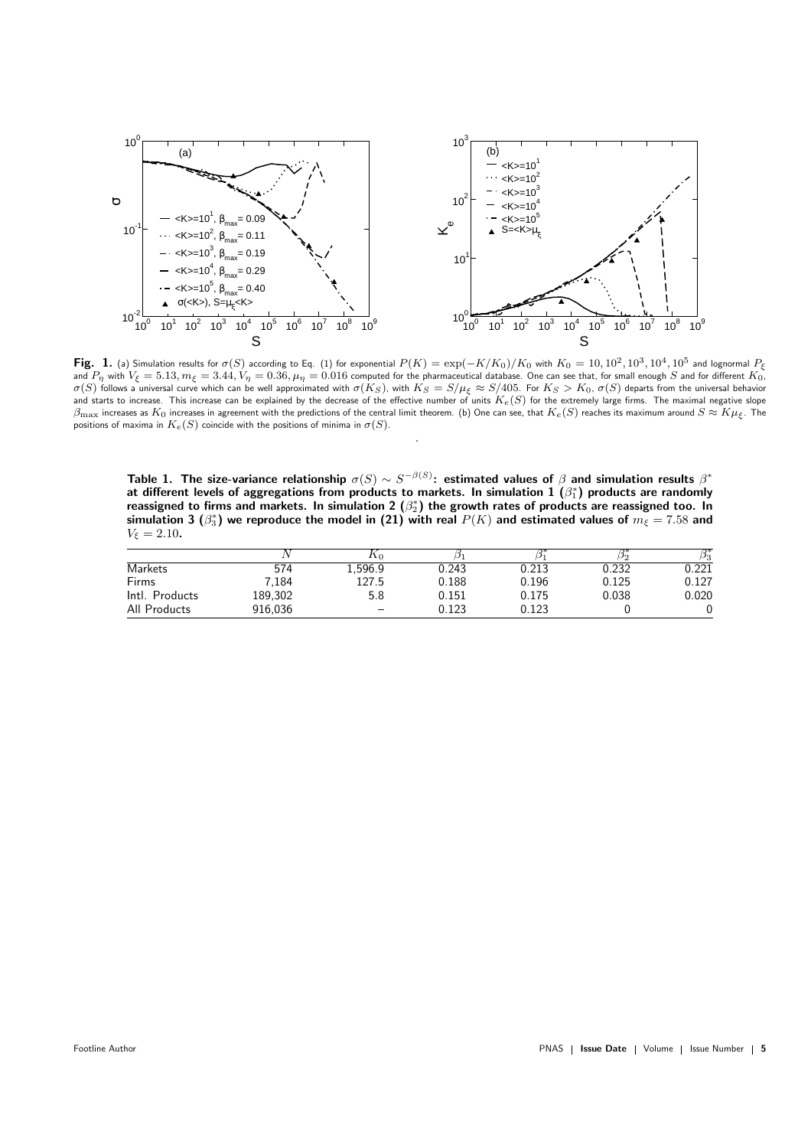

Fig. 1. (a) Simulation results for  $\sigma(S)$  according to Eq. (1) for exponential  $P(K) = \exp(-K/K_0)/K_0$  with  $K_0 = 10, 10^2, 10^3, 10^4, 10^5$  and lognormal  $P_\xi$ and  $P_\eta$  with  $V_\xi=5.13, m_\xi=3.44, V_\eta=0.36, \mu_\eta=0.016$  computed for the pharmaceutical database. One can see that, for small enough  $S$  and for different  $K_0$ ,  $\sigma(S)$  follows a universal curve which can be well approximated with  $\sigma(K_S)$ , with  $K_S=S/\mu_\xi \approx S/405$ . For  $K_S>K_0$ ,  $\sigma(S)$  departs from the universal behavior and starts to increase. This increase can be explained by the decrease of the effective number of units  $K_e(S)$  for the extremely large firms. The maximal negative slope  $\beta_{\rm max}$  increases as  $K_0$  increases in agreement with the predictions of the central limit theorem. (b) One can see, that  $K_e(S)$  reaches its maximum around  $S \approx K\mu_f$ . The positions of maxima in  $K_e(S)$  coincide with the positions of minima in  $\sigma(S)$ .

.

Table 1. The size-variance relationship  $\sigma(S)\sim S^{-\beta(S)}$ : estimated values of  $\beta$  and simulation results  $\beta^*$ at different levels of aggregations from products to markets. In simulation  $\mathbf{1}$   $(\beta_1^*)$  products are randomly reassigned to firms and markets. In simulation 2  $(\beta_2^*)$  the growth rates of products are reassigned too. In simulation 3  $(\beta_3^*)$  we reproduce the model in (21) with real  $P(K)$  and estimated values of  $m_\xi=7.58$  and  $V_{\xi} = 2.10.$ 

|                |         | Λo      |       |       | $D_2$ | $\beta_3^*$ |
|----------------|---------|---------|-------|-------|-------|-------------|
| <b>Markets</b> | 574     | 1,596.9 | 0.243 | 0.213 | 0.232 | 0.221       |
| Firms          | 7.184   | 127.5   | 0.188 | 0.196 | 0.125 | 0.127       |
| Intl. Products | 189,302 | 5.8     | 0.151 | 0.175 | 0.038 | 0.020       |
| All Products   | 916,036 |         | 0.123 | 0.123 |       |             |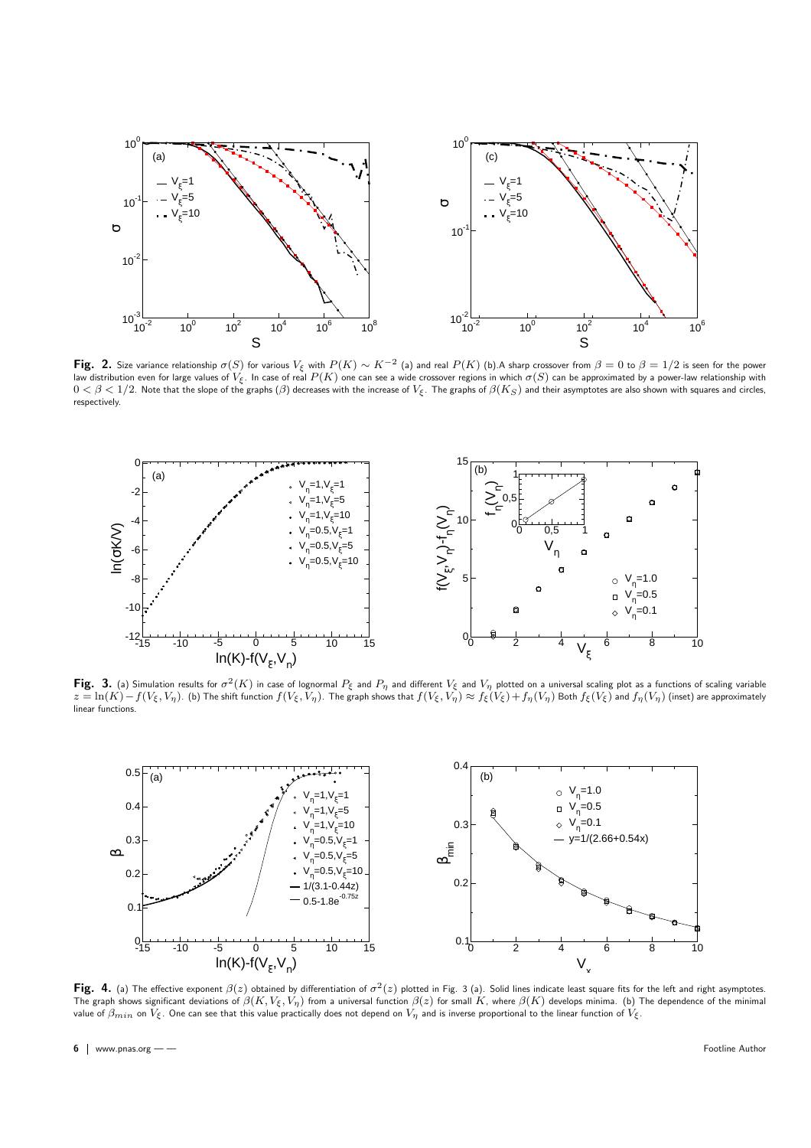

 $\mathsf{Fig.}$  2. Size variance relationship  $\sigma(S)$  for various  $V_\xi$  with  $P(K) \sim K^{-2}$  (a) and real  $P(K)$  (b).A sharp crossover from  $\beta=0$  to  $\beta=1/2$  is seen for the power law distribution even for large values of  $V_{\xi}$ . In case of real  $P(K)$  one can see a wide crossover regions in which  $\sigma(S)$  can be approximated by a power-law relationship with  $0 < \beta < 1/2$ . Note that the slope of the graphs ( $\beta$ ) decreases with the increase of  $V_{\xi}$ . The graphs of  $\beta(K_S)$  and their asymptotes are also shown with squares and circles, respectively.



Fig. 3. (a) Simulation results for  $\sigma^2(K)$  in case of lognormal  $P_\xi$  and  $P_\eta$  and different  $V_\xi$  and  $V_\eta$  plotted on a universal scaling plot as a functions of scaling variable  $z=\ln(K)-f(V_\xi, V_\eta)$ . (b) The shift function  $f(V_\xi, V_\eta)$ . The graph shows that  $f(V_\xi, V_\eta) \approx f_\xi(V_\xi) + f_\eta(V_\eta)$  Both  $f_\xi(V_\xi)$  and  $f_\eta(V_\eta)$  (inset) are approximately linear functions.



Fig. 4. (a) The effective exponent  $\beta(z)$  obtained by differentiation of  $\sigma^2(z)$  plotted in Fig. 3 (a). Solid lines indicate least square fits for the left and right asymptotes. The graph shows significant deviations of  $\beta(K,V_\xi,V_\eta)$  from a universal function  $\beta(z)$  for small  $K$ , where  $\beta(K)$  develops minima. (b) The dependence of the minimal value of  $\beta_{min}$  on  $V_{\xi}$ . One can see that this value practically does not depend on  $V_{\eta}$  and is inverse proportional to the linear function of  $V_{\xi}$ .

6 | www.pnas.org — — Footline Author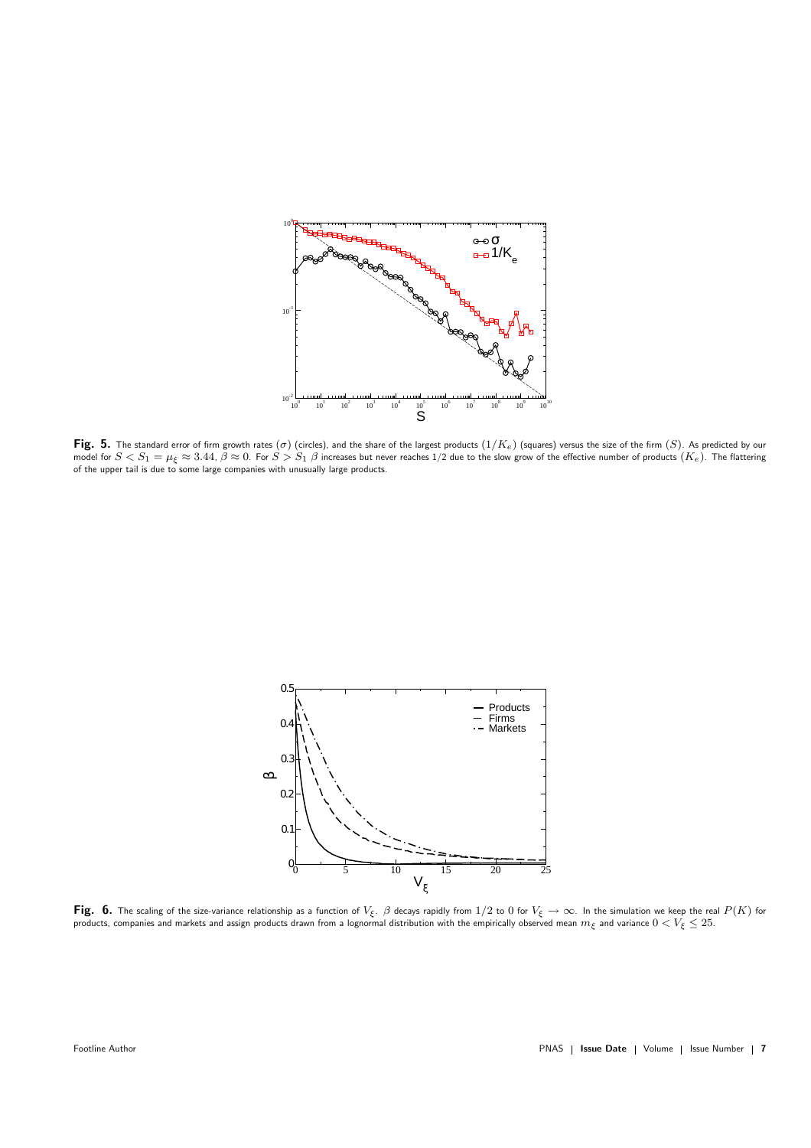

 ${\sf Fig.~5.}$  The standard error of firm growth rates  $(\sigma)$  (circles), and the share of the largest products  $(1/K_e)$  (squares) versus the size of the firm  $(S)$ . As predicted by our model for  $S < S_1 = \mu_{\xi} \approx 3.44$ ,  $\beta \approx 0$ . For  $S > S_1$   $\beta$  increases but never reaches 1/2 due to the slow grow of the effective number of products  $(K_e)$ . The flattering<br>of the upper tail is due to some large companies w



 $\mathsf{Fig.~6.}$  The scaling of the size-variance relationship as a function of  $V_\xi$ .  $\beta$  decays rapidly from  $1/2$  to  $0$  for  $V_\xi\to\infty$ . In the simulation we keep the real  $P(K)$  for products, companies and markets and assign products drawn from a lognormal distribution with the empirically observed mean  $m_{\xi}$  and variance  $0 < V_{\xi} \leq 25.$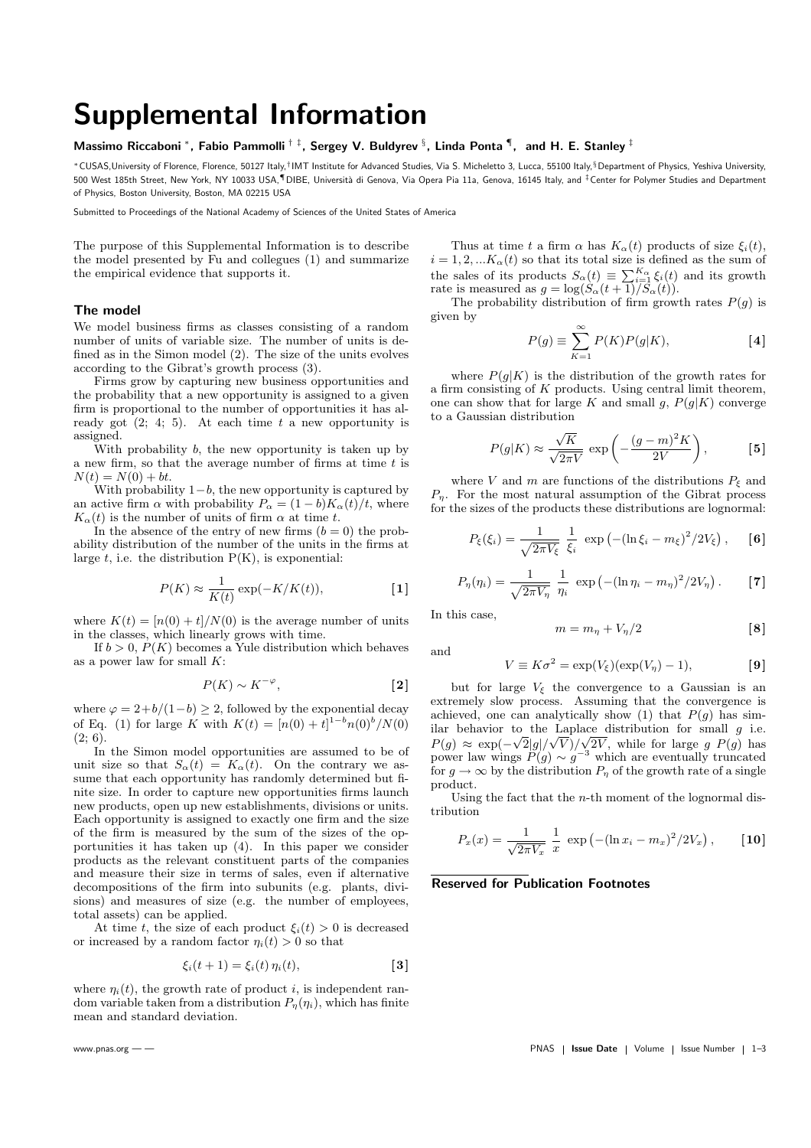## Supplemental Information

## Massimo Riccaboni \*, Fabio Pammolli  $^{\dagger ~\ddagger}$ , Sergey V. Buldyrev  $^{\S},$  Linda Ponta  $\P, \;$  and H. E. Stanley  $^{\ddagger}$

\*CUSAS,University of Florence, Florence, 50127 Italy,†IMT Institute for Advanced Studies, Via S. Micheletto 3, Lucca, 55100 Italy,§Department of Physics, Yeshiva University, 500 West 185th Street, New York, NY 10033 USA, IDIBE, Università di Genova, Via Opera Pia 11a, Genova, 16145 Italy, and ‡Center for Polymer Studies and Department of Physics, Boston University, Boston, MA 02215 USA

Submitted to Proceedings of the National Academy of Sciences of the United States of America

The purpose of this Supplemental Information is to describe the model presented by Fu and collegues (1) and summarize the empirical evidence that supports it.

## The model

We model business firms as classes consisting of a random number of units of variable size. The number of units is defined as in the Simon model (2). The size of the units evolves according to the Gibrat's growth process (3).

Firms grow by capturing new business opportunities and the probability that a new opportunity is assigned to a given firm is proportional to the number of opportunities it has already got  $(2; 4; 5)$ . At each time t a new opportunity is assigned.

With probability  $b$ , the new opportunity is taken up by a new firm, so that the average number of firms at time  $t$  is  $N(t) = N(0) + bt.$ 

With probability  $1-b$ , the new opportunity is captured by an active firm  $\alpha$  with probability  $P_{\alpha} = (1 - b)K_{\alpha}(t)/t$ , where  $K_{\alpha}(t)$  is the number of units of firm  $\alpha$  at time t.

In the absence of the entry of new firms  $(b = 0)$  the probability distribution of the number of the units in the firms at large  $t$ , i.e. the distribution  $P(K)$ , is exponential:

$$
P(K) \approx \frac{1}{K(t)} \exp(-K/K(t)),
$$
 [1]

where  $K(t) = \frac{n(0) + t}{N(0)}$  is the average number of units in the classes, which linearly grows with time.

If  $b > 0$ ,  $P(K)$  becomes a Yule distribution which behaves as a power law for small  $K$ :

$$
P(K) \sim K^{-\varphi}, \tag{2}
$$

where  $\varphi = 2 + b/(1-b) \geq 2$ , followed by the exponential decay of Eq. (1) for large K with  $K(t) = [n(0) + t]^{1-b} n(0)^b/N(0)$  $(2; 6).$ 

In the Simon model opportunities are assumed to be of unit size so that  $S_{\alpha}(t) = K_{\alpha}(t)$ . On the contrary we assume that each opportunity has randomly determined but finite size. In order to capture new opportunities firms launch new products, open up new establishments, divisions or units. Each opportunity is assigned to exactly one firm and the size of the firm is measured by the sum of the sizes of the opportunities it has taken up (4). In this paper we consider products as the relevant constituent parts of the companies and measure their size in terms of sales, even if alternative decompositions of the firm into subunits (e.g. plants, divisions) and measures of size (e.g. the number of employees, total assets) can be applied.

At time t, the size of each product  $\xi_i(t) > 0$  is decreased or increased by a random factor  $\eta_i(t) > 0$  so that

$$
\xi_i(t+1) = \xi_i(t)\,\eta_i(t),\tag{3}
$$

where  $\eta_i(t)$ , the growth rate of product i, is independent random variable taken from a distribution  $P_{\eta}(\eta_i)$ , which has finite mean and standard deviation.

Thus at time t a firm  $\alpha$  has  $K_{\alpha}(t)$  products of size  $\xi_i(t)$ ,  $i = 1, 2, \dots K_\alpha(t)$  so that its total size is defined as the sum of  $t = 1, 2, ...$   $\Lambda_{\alpha}(t)$  so that its total size is defined as the sum of the sales of its products  $S_{\alpha}(t) \equiv \sum_{i=1}^{K_{\alpha}} \xi_i(t)$  and its growth rate is measured as  $g = \log(S_\alpha(t+1)/\tilde{S}_\alpha(t))$ .

The probability distribution of firm growth rates  $P(q)$  is given by

$$
P(g) \equiv \sum_{K=1}^{\infty} P(K)P(g|K), \tag{4}
$$

where  $P(q|K)$  is the distribution of the growth rates for a firm consisting of  $K$  products. Using central limit theorem, one can show that for large K and small g,  $P(g|K)$  converge to a Gaussian distribution

$$
P(g|K) \approx \frac{\sqrt{K}}{\sqrt{2\pi V}} \exp\left(-\frac{(g-m)^2 K}{2V}\right),
$$
 [5]

where V and m are functions of the distributions  $P_{\xi}$  and  $P_n$ . For the most natural assumption of the Gibrat process for the sizes of the products these distributions are lognormal:

$$
P_{\xi}(\xi_i) = \frac{1}{\sqrt{2\pi V_{\xi}}} \frac{1}{\xi_i} \exp\left(-(\ln \xi_i - m_{\xi})^2/2V_{\xi}\right), \quad \textbf{[6]}
$$

$$
P_{\eta}(\eta_i) = \frac{1}{\sqrt{2\pi V_{\eta}}} \frac{1}{\eta_i} \exp\left(-(\ln \eta_i - m_{\eta})^2/2V_{\eta}\right). \tag{7}
$$

In this case,

$$
m = m_{\eta} + V_{\eta}/2 \tag{8}
$$

$$
\quad\text{and}\quad
$$

$$
V \equiv K\sigma^2 = \exp(V_{\xi})(\exp(V_{\eta}) - 1), \tag{9}
$$

but for large  $V_{\xi}$  the convergence to a Gaussian is an extremely slow process. Assuming that the convergence is achieved, one can analytically show (1) that  $P(g)$  has similar behavior to the Laplace distribution for small  $g$  i.e.  $P(g) \approx \exp(-\sqrt{2|g|}/\sqrt{V})/\sqrt{2V}$ , while for large g  $P(g)$  has power law wings  $P(g) \sim g^{-3}$  which are eventually truncated for  $g \to \infty$  by the distribution  $P_n$  of the growth rate of a single product.

Using the fact that the  $n$ -th moment of the lognormal distribution

$$
P_x(x) = \frac{1}{\sqrt{2\pi V_x}} \frac{1}{x} \exp(-( \ln x_i - m_x)^2 / 2V_x), \quad [10]
$$

### Reserved for Publication Footnotes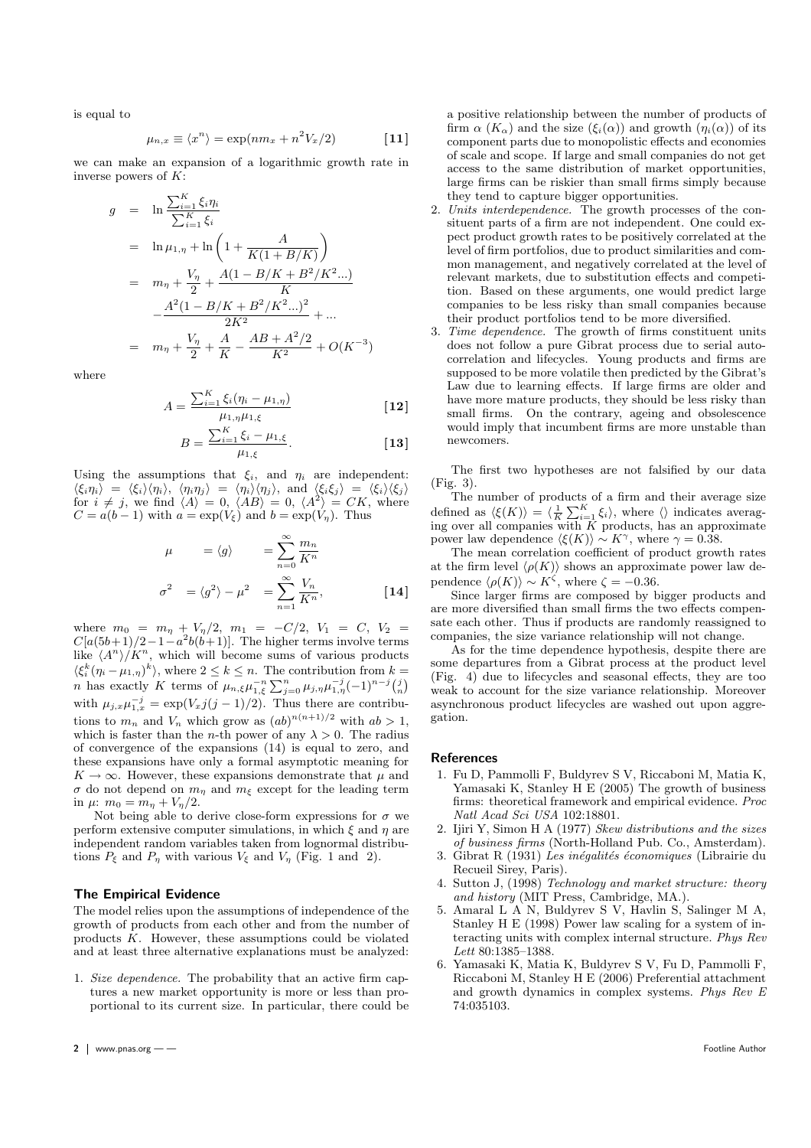is equal to

$$
\mu_{n,x} \equiv \langle x^n \rangle = \exp(nm_x + n^2 V_x / 2)
$$
 [11]

we can make an expansion of a logarithmic growth rate in inverse powers of K:

$$
g = \ln \frac{\sum_{i=1}^{K} \xi_i \eta_i}{\sum_{i=1}^{K} \xi_i}
$$
  
\n
$$
= \ln \mu_{1,\eta} + \ln \left( 1 + \frac{A}{K(1 + B/K)} \right)
$$
  
\n
$$
= m_{\eta} + \frac{V_{\eta}}{2} + \frac{A(1 - B/K + B^2/K^2...)}{K}
$$
  
\n
$$
- \frac{A^2(1 - B/K + B^2/K^2...)^2}{2K^2} + ...
$$
  
\n
$$
= m_{\eta} + \frac{V_{\eta}}{2} + \frac{A}{K} - \frac{AB + A^2/2}{K^2} + O(K^{-3})
$$

where

$$
A = \frac{\sum_{i=1}^{K} \xi_i (\eta_i - \mu_{1,\eta})}{\mu_{1,\eta} \mu_{1,\xi}}
$$
 [12]

$$
B = \frac{\sum_{i=1}^{K} \xi_i - \mu_{1,\xi}}{\mu_{1,\xi}}.
$$
 [13]

Using the assumptions that  $\xi_i$ , and  $\eta_i$  are independent:  $\langle \xi_i \eta_i \rangle = \langle \xi_i \rangle \langle \eta_i \rangle, \langle \eta_i \eta_j \rangle = \langle \eta_i \rangle \langle \eta_j \rangle, \text{ and } \langle \xi_i \xi_j \rangle = \langle \xi_i \rangle \langle \xi_j \rangle$ for  $i \neq j$ , we find  $\langle A \rangle = 0$ ,  $\langle AB \rangle = 0$ ,  $\langle A^2 \rangle = CK$ , where  $C = a(b-1)$  with  $a = \exp(V_{\xi})$  and  $b = \exp(V_n)$ . Thus

$$
\mu = \langle g \rangle = \sum_{n=0}^{\infty} \frac{m_n}{K^n}
$$
  

$$
\sigma^2 = \langle g^2 \rangle - \mu^2 = \sum_{n=1}^{\infty} \frac{V_n}{K^n},
$$
 [14]

where  $m_0 = m_\eta + V_\eta/2$ ,  $m_1 = -C/2$ ,  $V_1 = C$ ,  $V_2 =$  $C[a(5b+1)/2-1-a^2b(b+1)]$ . The higher terms involve terms like  $\langle A^n \rangle / K^n$ , which will become sums of various products  $\langle \xi_i^k (\eta_i - \mu_{1,\eta})^k \rangle$ , where  $2 \leq k \leq n$ . The contribution from  $k =$  $\frac{1}{2}$  ( $\frac{1}{n}$ )  $\frac{1}{n}$ , where  $2 \le k \le n$ . The contribution from  $k = n$  has exactly K terms of  $\mu_{n,\xi}\mu_{1,\xi}^{-n} \sum_{j=0}^{n} \mu_{j,\eta}\mu_{1,\eta}^{-j}(-1)^{n-j} \binom{j}{n}$ ´ with  $\mu_{j,x}\mu_{1,x}^{-j} = \exp(V_xj(j-1)/2)$ . Thus there are contributions to  $m_n$  and  $V_n$  which grow as  $(ab)^{n(n+1)/2}$  with  $ab > 1$ , which is faster than the *n*-th power of any  $\lambda > 0$ . The radius of convergence of the expansions (14) is equal to zero, and these expansions have only a formal asymptotic meaning for  $K \to \infty$ . However, these expansions demonstrate that  $\mu$  and  $\sigma$  do not depend on  $m_{\eta}$  and  $m_{\xi}$  except for the leading term in  $\mu$ :  $m_0 = m_n + V_n/2$ .

Not being able to derive close-form expressions for  $\sigma$  we perform extensive computer simulations, in which  $\xi$  and  $\eta$  are independent random variables taken from lognormal distributions  $P_{\xi}$  and  $P_{\eta}$  with various  $V_{\xi}$  and  $V_{\eta}$  (Fig. 1 and 2).

### The Empirical Evidence

The model relies upon the assumptions of independence of the growth of products from each other and from the number of products K. However, these assumptions could be violated and at least three alternative explanations must be analyzed:

1. Size dependence. The probability that an active firm captures a new market opportunity is more or less than proportional to its current size. In particular, there could be a positive relationship between the number of products of firm  $\alpha$  (K<sub>α</sub>) and the size ( $\xi_i(\alpha)$ ) and growth ( $\eta_i(\alpha)$ ) of its component parts due to monopolistic effects and economies of scale and scope. If large and small companies do not get access to the same distribution of market opportunities, large firms can be riskier than small firms simply because they tend to capture bigger opportunities.

- 2. Units interdependence. The growth processes of the consituent parts of a firm are not independent. One could expect product growth rates to be positively correlated at the level of firm portfolios, due to product similarities and common management, and negatively correlated at the level of relevant markets, due to substitution effects and competition. Based on these arguments, one would predict large companies to be less risky than small companies because their product portfolios tend to be more diversified.
- 3. Time dependence. The growth of firms constituent units does not follow a pure Gibrat process due to serial autocorrelation and lifecycles. Young products and firms are supposed to be more volatile then predicted by the Gibrat's Law due to learning effects. If large firms are older and have more mature products, they should be less risky than small firms. On the contrary, ageing and obsolescence would imply that incumbent firms are more unstable than newcomers.

The first two hypotheses are not falsified by our data (Fig. 3).

The number of products of a firm and their average size The number of products of a fifth and their average size<br>defined as  $\langle \xi(K) \rangle = \langle \frac{1}{K} \sum_{i=1}^{K} \xi_i \rangle$ , where  $\langle \rangle$  indicates averag-<br>ing over all companies with K products, has an approximate power law dependence  $\langle \xi(K) \rangle \sim K^{\gamma}$ , where  $\gamma = 0.38$ .

The mean correlation coefficient of product growth rates at the firm level  $\langle \rho(K) \rangle$  shows an approximate power law dependence  $\langle \rho(K) \rangle \sim K^{\zeta}$ , where  $\zeta = -0.36$ .

Since larger firms are composed by bigger products and are more diversified than small firms the two effects compensate each other. Thus if products are randomly reassigned to companies, the size variance relationship will not change.

As for the time dependence hypothesis, despite there are some departures from a Gibrat process at the product level (Fig. 4) due to lifecycles and seasonal effects, they are too weak to account for the size variance relationship. Moreover asynchronous product lifecycles are washed out upon aggregation.

#### References

- 1. Fu D, Pammolli F, Buldyrev S V, Riccaboni M, Matia K, Yamasaki K, Stanley H E (2005) The growth of business firms: theoretical framework and empirical evidence. Proc Natl Acad Sci USA 102:18801.
- 2. Ijiri Y, Simon H A (1977) Skew distributions and the sizes of business firms (North-Holland Pub. Co., Amsterdam).
- 3. Gibrat R (1931) Les inégalités économiques (Librairie du Recueil Sirey, Paris).
- Sutton J, (1998) Technology and market structure: theory and history (MIT Press, Cambridge, MA.).
- 5. Amaral L A N, Buldyrev S V, Havlin S, Salinger M A, Stanley H E (1998) Power law scaling for a system of interacting units with complex internal structure. Phys Rev Lett 80:1385–1388.
- 6. Yamasaki K, Matia K, Buldyrev S V, Fu D, Pammolli F, Riccaboni M, Stanley H E (2006) Preferential attachment and growth dynamics in complex systems. Phys Rev E 74:035103.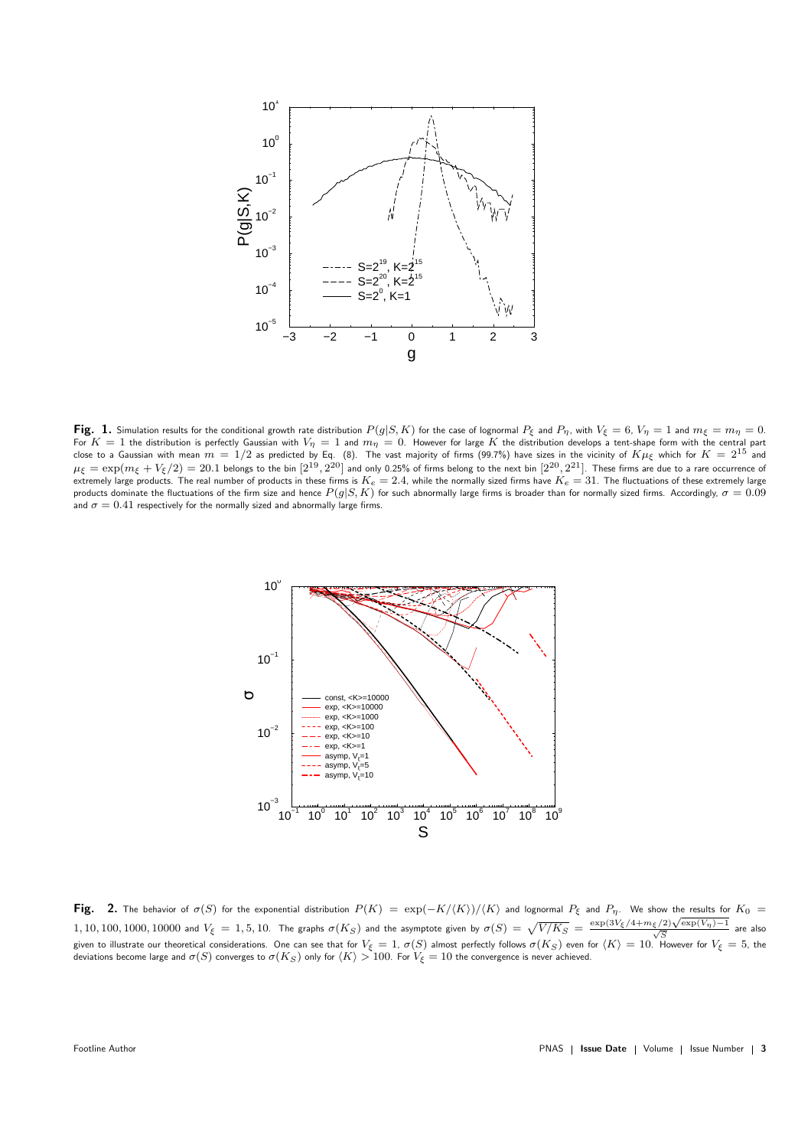

Fig. 1. Simulation results for the conditional growth rate distribution  $P(g|S, K)$  for the case of lognormal  $P_{\xi}$  and  $P_{\eta}$ , with  $V_{\xi} = 6$ ,  $V_{\eta} = 1$  and  $m_{\xi} = m_{\eta} = 0$ . For  $K = 1$  the distribution is perfectly Gaussian with  $V_{\eta} = 1$  and  $m_{\eta} = 0$ . However for large  $K$  the distribution develops a tent-shape form with the central part close to a Gaussian with mean  $m = 1/2$  as predicted by Eq. (8). The vast majority of firms (99.7%) have sizes in the vicinity of  $K\mu_{\xi}$  which for  $K = 2^{15}$  and  $\mu_\xi=\exp(m_\xi+V_\xi/2)=20.1$  belongs to the bin  $[2^{19},2^{20}]$  and only 0.25% of firms belong to the next bin  $[2^{20},2^{21}]$ . These firms are due to a rare occurrence of extremely large products. The real number of products in these firms is  $K_e = 2.4$ , while the normally sized firms have  $K_e = 31$ . The fluctuations of these extremely large products dominate the fluctuations of the firm size and hence  $P(g|S, K)$  for such abnormally large firms is broader than for normally sized firms. Accordingly,  $\sigma = 0.09$ and  $\sigma = 0.41$  respectively for the normally sized and abnormally large firms.



Fig. 2. The behavior of  $\sigma(S)$  for the exponential distribution  $P(K) = \exp(-K/\langle K\rangle)/\langle K\rangle$  and lognormal  $P_\xi$  and  $P_\eta$ . We show the results for  $K_0 =$ 1, 10, 100, 1000, 10000 and  $V_{\xi} = 1, 5, 10$ . The graphs  $\sigma(K_S)$  and the asymptote given by  $\sigma(S) = \sqrt{V/K_S} = \frac{\exp(3V_{\xi}/4 + m_{\xi}/2)\sqrt{\exp(V_{\eta})-1}}{\sqrt{S}}$  are also given to illustrate our theoretical considerations. One can see that for  $V_{\xi} = 1$ ,  $\sigma(S)$  almost perfectly follows  $\sigma(K_S)$  even for  $\langle K \rangle = 10$ . However for  $V_{\xi} = 5$ , the deviations become large and  $\sigma(S)$  converges to  $\sigma(K_S)$  only for  $\langle K \rangle > 100$ . For  $V_{\xi} = 10$  the convergence is never achieved.